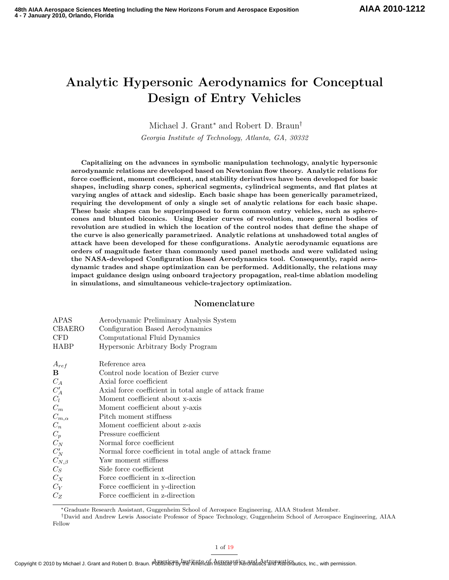# Analytic Hypersonic Aerodynamics for Conceptual Design of Entry Vehicles

Michael J. Grant<sup>∗</sup> and Robert D. Braun†

Georgia Institute of Technology, Atlanta, GA, 30332

Capitalizing on the advances in symbolic manipulation technology, analytic hypersonic aerodynamic relations are developed based on Newtonian flow theory. Analytic relations for force coefficient, moment coefficient, and stability derivatives have been developed for basic shapes, including sharp cones, spherical segments, cylindrical segments, and flat plates at varying angles of attack and sideslip. Each basic shape has been generically parametrized, requiring the development of only a single set of analytic relations for each basic shape. These basic shapes can be superimposed to form common entry vehicles, such as spherecones and blunted biconics. Using Bezier curves of revolution, more general bodies of revolution are studied in which the location of the control nodes that define the shape of the curve is also generically parametrized. Analytic relations at unshadowed total angles of attack have been developed for these configurations. Analytic aerodynamic equations are orders of magnitude faster than commonly used panel methods and were validated using the NASA-developed Configuration Based Aerodynamics tool. Consequently, rapid aerodynamic trades and shape optimization can be performed. Additionally, the relations may impact guidance design using onboard trajectory propagation, real-time ablation modeling in simulations, and simultaneous vehicle-trajectory optimization.

# Nomenclature

| APAS   | Aerodynamic Preliminary Analysis System |
|--------|-----------------------------------------|
| CBAERO | Configuration Based Aerodynamics        |

- CFD Computational Fluid Dynamics
- HABP Hypersonic Arbitrary Body Program

| $A_{ref}$      | Reference area                                           |
|----------------|----------------------------------------------------------|
| B.             | Control node location of Bezier curve                    |
| $C_A$          | Axial force coefficient                                  |
| $C'_{A}$       | Axial force coefficient in total angle of attack frame   |
| $C_l$          | Moment coefficient about x-axis                          |
| $C_m$          | Moment coefficient about y-axis                          |
| $C_{m,\alpha}$ | Pitch moment stiffness                                   |
| $C_n$          | Moment coefficient about z-axis                          |
| $C_p$          | Pressure coefficient                                     |
| $C_N$          | Normal force coefficient                                 |
| $C_N'$         | Normal force coefficient in total angle of attack frame. |
| $C_{N,\beta}$  | Yaw moment stiffness                                     |
| $C_S$          | Side force coefficient                                   |
| $C_X$          | Force coefficient in x-direction                         |
| $C_V$          | Force coefficient in y-direction                         |
| $C_{Z}$        | Force coefficient in z-direction                         |

<sup>∗</sup>Graduate Research Assistant, Guggenheim School of Aerospace Engineering, AIAA Student Member.

<sup>†</sup>David and Andrew Lewis Associate Professor of Space Technology, Guggenheim School of Aerospace Engineering, AIAA Fellow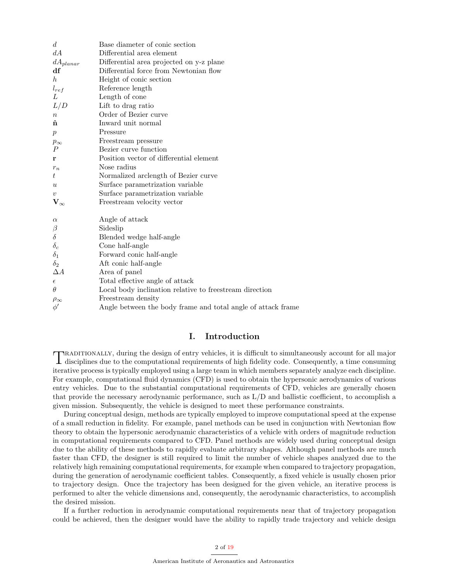| d.                        | Base diameter of conic section                               |
|---------------------------|--------------------------------------------------------------|
| dA                        | Differential area element                                    |
| $dA_{planar}$             | Differential area projected on y-z plane                     |
| df                        | Differential force from Newtonian flow                       |
| $\hbar$                   | Height of conic section                                      |
| $l_{ref}$                 | Reference length                                             |
| L                         | Length of cone                                               |
| L/D                       | Lift to drag ratio                                           |
| $\, n$                    | Order of Bezier curve                                        |
| ñ                         | Inward unit normal                                           |
| $\boldsymbol{p}$          | Pressure                                                     |
| $p_{\infty}$              | Freestream pressure                                          |
| $\overline{P}$            | Bezier curve function                                        |
| r                         | Position vector of differential element                      |
| $r_n$                     | Nose radius                                                  |
| $\, t \,$                 | Normalized arclength of Bezier curve                         |
| $\boldsymbol{\mathit{u}}$ | Surface parametrization variable                             |
| $\boldsymbol{v}$          | Surface parametrization variable                             |
| $\mathbf{V}_\infty$       | Freestream velocity vector                                   |
|                           |                                                              |
| $\alpha$                  | Angle of attack                                              |
| $\beta$                   | Sideslip                                                     |
| $\delta$                  | Blended wedge half-angle                                     |
| $\delta_c$                | Cone half-angle                                              |
| $\delta_1$                | Forward conic half-angle                                     |
| $\delta_2$                | Aft conic half-angle                                         |
| $\Delta A$                | Area of panel                                                |
| $\epsilon$                | Total effective angle of attack                              |
| $\theta$                  | Local body inclination relative to freestream direction      |
| $\rho_{\infty}$           | Freestream density                                           |
| $\phi'$                   | Angle between the body frame and total angle of attack frame |

# I. Introduction

TRADITIONALLY, during the design of entry vehicles, it is difficult to simultaneously account for all major disciplines due to the computational requirements of high fidelity code. Consequently, a time consuming disciplines due to the computational requirements of high fidelity code. Consequently, a time consuming iterative process is typically employed using a large team in which members separately analyze each discipline. For example, computational fluid dynamics (CFD) is used to obtain the hypersonic aerodynamics of various entry vehicles. Due to the substantial computational requirements of CFD, vehicles are generally chosen that provide the necessary aerodynamic performance, such as L/D and ballistic coefficient, to accomplish a given mission. Subsequently, the vehicle is designed to meet these performance constraints.

During conceptual design, methods are typically employed to improve computational speed at the expense of a small reduction in fidelity. For example, panel methods can be used in conjunction with Newtonian flow theory to obtain the hypersonic aerodynamic characteristics of a vehicle with orders of magnitude reduction in computational requirements compared to CFD. Panel methods are widely used during conceptual design due to the ability of these methods to rapidly evaluate arbitrary shapes. Although panel methods are much faster than CFD, the designer is still required to limit the number of vehicle shapes analyzed due to the relatively high remaining computational requirements, for example when compared to trajectory propagation, during the generation of aerodynamic coefficient tables. Consequently, a fixed vehicle is usually chosen prior to trajectory design. Once the trajectory has been designed for the given vehicle, an iterative process is performed to alter the vehicle dimensions and, consequently, the aerodynamic characteristics, to accomplish the desired mission.

If a further reduction in aerodynamic computational requirements near that of trajectory propagation could be achieved, then the designer would have the ability to rapidly trade trajectory and vehicle design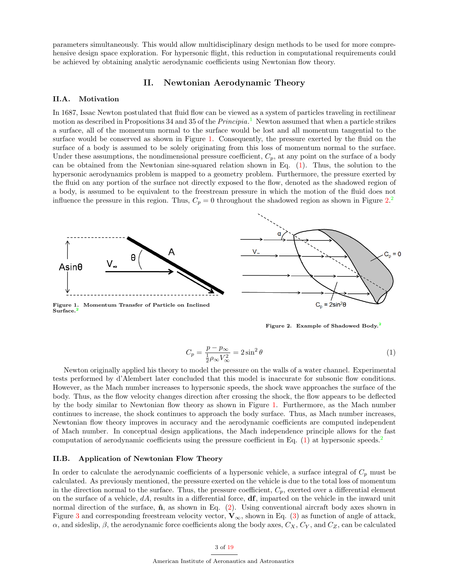parameters simultaneously. This would allow multidisciplinary design methods to be used for more comprehensive design space exploration. For hypersonic flight, this reduction in computational requirements could be achieved by obtaining analytic aerodynamic coefficients using Newtonian flow theory.

# II. Newtonian Aerodynamic Theory

## II.A. Motivation

In 1687, Issac Newton postulated that fluid flow can be viewed as a system of particles traveling in rectilinear motion as described in Propositions 34 and 35 of the *Principia*.<sup>[1](#page-18-0)</sup> Newton assumed that when a particle strikes a surface, all of the momentum normal to the surface would be lost and all momentum tangential to the surface would be conserved as shown in Figure [1.](#page-3-0) Consequently, the pressure exerted by the fluid on the surface of a body is assumed to be solely originating from this loss of momentum normal to the surface. Under these assumptions, the nondimensional pressure coefficient,  $C_p$ , at any point on the surface of a body can be obtained from the Newtonian sine-squared relation shown in Eq. [\(1\)](#page-3-1). Thus, the solution to the hypersonic aerodynamics problem is mapped to a geometry problem. Furthermore, the pressure exerted by the fluid on any portion of the surface not directly exposed to the flow, denoted as the shadowed region of a body, is assumed to be equivalent to the freestream pressure in which the motion of the fluid does not influence the pressure in this region. Thus,  $C_p = 0$  throughout the shadowed region as shown in Figure [2.](#page-3-2)<sup>[2](#page-18-1)</sup>



Figure [2](#page-18-1). Example of Shadowed Body.<sup>2</sup>

$$
C_p = \frac{p - p_{\infty}}{\frac{1}{2}\rho_{\infty}V_{\infty}^2} = 2\sin^2\theta
$$
\n(1)

Newton originally applied his theory to model the pressure on the walls of a water channel. Experimental tests performed by d'Alembert later concluded that this model is inaccurate for subsonic flow conditions. However, as the Mach number increases to hypersonic speeds, the shock wave approaches the surface of the body. Thus, as the flow velocity changes direction after crossing the shock, the flow appears to be deflected by the body similar to Newtonian flow theory as shown in Figure [1.](#page-3-0) Furthermore, as the Mach number continues to increase, the shock continues to approach the body surface. Thus, as Mach number increases, Newtonian flow theory improves in accuracy and the aerodynamic coefficients are computed independent of Mach number. In conceptual design applications, the Mach independence principle allows for the fast computation of aerodynamic coefficients using the pressure coefficient in Eq.  $(1)$  at hypersonic speeds.<sup>[2](#page-18-1)</sup>

# II.B. Application of Newtonian Flow Theory

In order to calculate the aerodynamic coefficients of a hypersonic vehicle, a surface integral of  $C_p$  must be calculated. As previously mentioned, the pressure exerted on the vehicle is due to the total loss of momentum in the direction normal to the surface. Thus, the pressure coefficient,  $C_p$ , exerted over a differential element on the surface of a vehicle,  $dA$ , results in a differential force,  $df$ , imparted on the vehicle in the inward unit normal direction of the surface,  $\hat{\mathbf{n}}$ , as shown in Eq. [\(2\)](#page-4-0). Using conventional aircraft body axes shown in Figure [3](#page-4-1) and corresponding freestream velocity vector,  $V_{\infty}$ , shown in Eq. [\(3\)](#page-4-2) as function of angle of attack,  $\alpha$ , and sideslip,  $\beta$ , the aerodynamic force coefficients along the body axes,  $C_X$ ,  $C_Y$ , and  $C_Z$ , can be calculated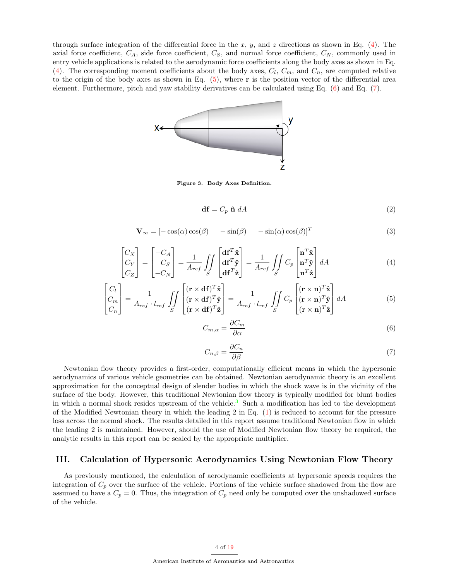through surface integration of the differential force in the x, y, and z directions as shown in Eq. [\(4\)](#page-4-3). The axial force coefficient,  $C_A$ , side force coefficient,  $C_S$ , and normal force coefficient,  $C_N$ , commonly used in entry vehicle applications is related to the aerodynamic force coefficients along the body axes as shown in Eq. [\(4\)](#page-4-3). The corresponding moment coefficients about the body axes,  $C_l$ ,  $C_m$ , and  $C_n$ , are computed relative to the origin of the body axes as shown in Eq.  $(5)$ , where r is the position vector of the differential area element. Furthermore, pitch and yaw stability derivatives can be calculated using Eq. [\(6\)](#page-4-5) and Eq. [\(7\)](#page-4-6).



Figure 3. Body Axes Definition.

$$
\mathbf{df} = C_p \ \hat{\mathbf{n}} \ dA \tag{2}
$$

$$
\mathbf{V}_{\infty} = [-\cos(\alpha)\cos(\beta) - \sin(\beta) - \sin(\alpha)\cos(\beta)]^{T}
$$
(3)

$$
\begin{bmatrix} C_X \\ C_Y \\ C_Z \end{bmatrix} = \begin{bmatrix} -C_A \\ C_S \\ -C_N \end{bmatrix} = \frac{1}{A_{ref}} \iint_S \begin{bmatrix} \mathbf{df}^T \hat{\mathbf{x}} \\ \mathbf{df}^T \hat{\mathbf{y}} \\ \mathbf{df}^T \hat{\mathbf{z}} \end{bmatrix} = \frac{1}{A_{ref}} \iint_S C_p \begin{bmatrix} \mathbf{n}^T \hat{\mathbf{x}} \\ \mathbf{n}^T \hat{\mathbf{y}} \\ \mathbf{n}^T \hat{\mathbf{z}} \end{bmatrix} dA \tag{4}
$$

<span id="page-3-0"></span>
$$
\begin{bmatrix} C_l \\ C_m \\ C_n \end{bmatrix} = \frac{1}{A_{ref} \cdot l_{ref}} \iint_S \begin{bmatrix} (\mathbf{r} \times \mathbf{d} \mathbf{f})^T \hat{\mathbf{x}} \\ (\mathbf{r} \times \mathbf{d} \mathbf{f})^T \hat{\mathbf{y}} \\ (\mathbf{r} \times \mathbf{d} \mathbf{f})^T \hat{\mathbf{z}} \end{bmatrix} = \frac{1}{A_{ref} \cdot l_{ref}} \iint_S C_p \begin{bmatrix} (\mathbf{r} \times \mathbf{n})^T \hat{\mathbf{x}} \\ (\mathbf{r} \times \mathbf{n})^T \hat{\mathbf{y}} \\ (\mathbf{r} \times \mathbf{n})^T \hat{\mathbf{z}} \end{bmatrix} dA \tag{5}
$$

<span id="page-3-2"></span>
$$
C_{m,\alpha} = \frac{\partial C_m}{\partial \alpha} \tag{6}
$$

$$
C_{n,\beta} = \frac{\partial C_n}{\partial \beta} \tag{7}
$$

<span id="page-3-1"></span>Newtonian flow theory provides a first-order, computationally efficient means in which the hypersonic aerodynamics of various vehicle geometries can be obtained. Newtonian aerodynamic theory is an excellent approximation for the conceptual design of slender bodies in which the shock wave is in the vicinity of the surface of the body. However, this traditional Newtonian flow theory is typically modified for blunt bodies in which a normal shock resides upstream of the vehicle.<sup>[3](#page-18-2)</sup> Such a modification has led to the development of the Modified Newtonian theory in which the leading  $2$  in Eq. [\(1\)](#page-3-1) is reduced to account for the pressure loss across the normal shock. The results detailed in this report assume traditional Newtonian flow in which the leading 2 is maintained. However, should the use of Modified Newtonian flow theory be required, the analytic results in this report can be scaled by the appropriate multiplier.

# <span id="page-3-3"></span>III. Calculation of Hypersonic Aerodynamics Using Newtonian Flow Theory

As previously mentioned, the calculation of aerodynamic coefficients at hypersonic speeds requires the integration of  $C_p$  over the surface of the vehicle. Portions of the vehicle surface shadowed from the flow are assumed to have a  $C_p = 0$ . Thus, the integration of  $C_p$  need only be computed over the unshadowed surface of the vehicle.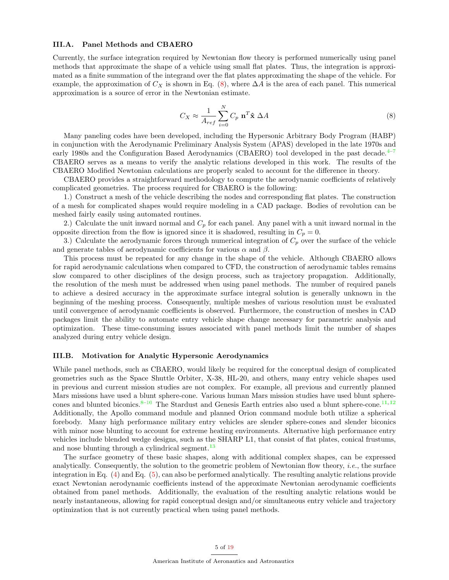## III.A. Panel Methods and CBAERO

Currently, the surface integration required by Newtonian flow theory is performed numerically using panel methods that approximate the shape of a vehicle using small flat plates. Thus, the integration is approximated as a finite summation of the integrand over the flat plates approximating the shape of the vehicle. For example, the approximation of  $C_X$  is shown in Eq. [\(8\)](#page-5-0), where  $\Delta A$  is the area of each panel. This numerical approximation is a source of error in the Newtonian estimate.

<span id="page-4-1"></span>
$$
C_X \approx \frac{1}{A_{ref}} \sum_{i=0}^{N} C_p \mathbf{n}^T \hat{\mathbf{x}} \Delta A
$$
 (8)

Many paneling codes have been developed, including the Hypersonic Arbitrary Body Program (HABP) in conjunction with the Aerodynamic Preliminary Analysis System (APAS) developed in the late 1970s and early 1980s and the Configuration Based Aerodynamics (CBAERO) tool developed in the past decade.<sup>[4–](#page-18-3)[7](#page-18-4)</sup> CBAERO serves as a means to verify the analytic relations developed in this work. The results of the CBAERO Modified Newtonian calculations are properly scaled to account for the difference in theory.

CBAERO provides a straightforward methodology to compute the aerodynamic coefficients of relatively complicated geometries. The process required for CBAERO is the following:

<span id="page-4-0"></span>1.) Construct a mesh of the vehicle describing the nodes and corresponding flat plates. The construction of a mesh for complicated shapes would require modeling in a CAD package. Bodies of revolution can be meshed fairly easily using automated routines.

<span id="page-4-2"></span>2.) Calculate the unit inward normal and  $C_p$  for each panel. Any panel with a unit inward normal in the opposite direction from the flow is ignored since it is shadowed, resulting in  $C_p = 0$ .

<span id="page-4-3"></span>3.) Calculate the aerodynamic forces through numerical integration of  $C_p$  over the surface of the vehicle and generate tables of aerodynamic coefficients for various  $\alpha$  and  $\beta$ .

<span id="page-4-4"></span>This process must be repeated for any change in the shape of the vehicle. Although CBAERO allows for rapid aerodynamic calculations when compared to CFD, the construction of aerodynamic tables remains slow compared to other disciplines of the design process, such as trajectory propagation. Additionally, the resolution of the mesh must be addressed when using panel methods. The number of required panels to achieve a desired accuracy in the approximate surface integral solution is generally unknown in the beginning of the meshing process. Consequently, multiple meshes of various resolution must be evaluated until convergence of aerodynamic coefficients is observed. Furthermore, the construction of meshes in CAD packages limit the ability to automate entry vehicle shape change necessary for parametric analysis and optimization. These time-consuming issues associated with panel methods limit the number of shapes analyzed during entry vehicle design.

#### <span id="page-4-6"></span><span id="page-4-5"></span>III.B. Motivation for Analytic Hypersonic Aerodynamics

While panel methods, such as CBAERO, would likely be required for the conceptual design of complicated geometries such as the Space Shuttle Orbiter, X-38, HL-20, and others, many entry vehicle shapes used in previous and current mission studies are not complex. For example, all previous and currently planned Mars missions have used a blunt sphere-cone. Various human Mars mission studies have used blunt spherecones and blunted biconics. $8-10$  $8-10$  The Stardust and Genesis Earth entries also used a blunt sphere-cone.<sup>[11,](#page-18-7) 12</sup> Additionally, the Apollo command module and planned Orion command module both utilize a spherical forebody. Many high performance military entry vehicles are slender sphere-cones and slender biconics with minor nose blunting to account for extreme heating environments. Alternative high performance entry vehicles include blended wedge designs, such as the SHARP L1, that consist of flat plates, conical frustums, and nose blunting through a cylindrical segment.<sup>13</sup>

The surface geometry of these basic shapes, along with additional complex shapes, can be expressed analytically. Consequently, the solution to the geometric problem of Newtonian flow theory, *i.e.*, the surface integration in Eq. [\(4\)](#page-4-3) and Eq. [\(5\)](#page-4-4), can also be performed analytically. The resulting analytic relations provide exact Newtonian aerodynamic coefficients instead of the approximate Newtonian aerodynamic coefficients obtained from panel methods. Additionally, the evaluation of the resulting analytic relations would be nearly instantaneous, allowing for rapid conceptual design and/or simultaneous entry vehicle and trajectory optimization that is not currently practical when using panel methods.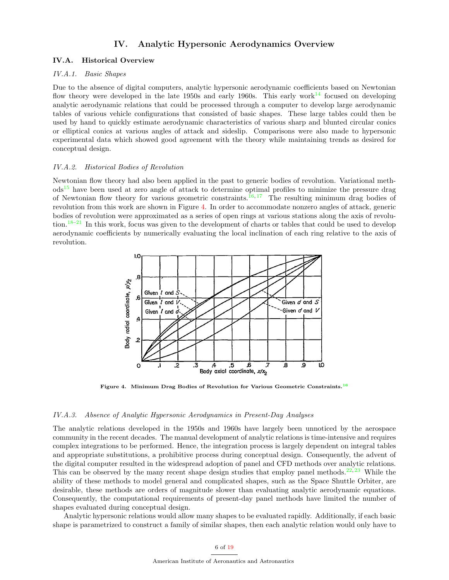# IV. Analytic Hypersonic Aerodynamics Overview

# IV.A. Historical Overview

# IV.A.1. Basic Shapes

<span id="page-5-0"></span>Due to the absence of digital computers, analytic hypersonic aerodynamic coefficients based on Newtonian flow theory were developed in the late 1950s and early 1960s. This early work<sup>14</sup> focused on developing analytic aerodynamic relations that could be processed through a computer to develop large aerodynamic tables of various vehicle configurations that consisted of basic shapes. These large tables could then be used by hand to quickly estimate aerodynamic characteristics of various sharp and blunted circular conics or elliptical conics at various angles of attack and sideslip. Comparisons were also made to hypersonic experimental data which showed good agreement with the theory while maintaining trends as desired for conceptual design.

#### IV.A.2. Historical Bodies of Revolution

Newtonian flow theory had also been applied in the past to generic bodies of revolution. Variational meth- $\text{od}^{\text{15}}$  have been used at zero angle of attack to determine optimal profiles to minimize the pressure drag of Newtonian flow theory for various geometric constraints.<sup>16, 17</sup> The resulting minimum drag bodies of revolution from this work are shown in Figure [4.](#page-6-0) In order to accommodate nonzero angles of attack, generic bodies of revolution were approximated as a series of open rings at various stations along the axis of revolution.18–21 In this work, focus was given to the development of charts or tables that could be used to develop aerodynamic coefficients by numerically evaluating the local inclination of each ring relative to the axis of revolution.



Figure 4. Minimum Drag Bodies of Revolution for Various Geometric Constraints.<sup>16</sup>

## IV.A.3. Absence of Analytic Hypersonic Aerodynamics in Present-Day Analyses

The analytic relations developed in the 1950s and 1960s have largely been unnoticed by the aerospace community in the recent decades. The manual development of analytic relations is time-intensive and requires complex integrations to be performed. Hence, the integration process is largely dependent on integral tables and appropriate substitutions, a prohibitive process during conceptual design. Consequently, the advent of the digital computer resulted in the widespread adoption of panel and CFD methods over analytic relations. This can be observed by the many recent shape design studies that employ panel methods.<sup>22, 23</sup> While the ability of these methods to model general and complicated shapes, such as the Space Shuttle Orbiter, are desirable, these methods are orders of magnitude slower than evaluating analytic aerodynamic equations. Consequently, the computational requirements of present-day panel methods have limited the number of shapes evaluated during conceptual design.

Analytic hypersonic relations would allow many shapes to be evaluated rapidly. Additionally, if each basic shape is parametrized to construct a family of similar shapes, then each analytic relation would only have to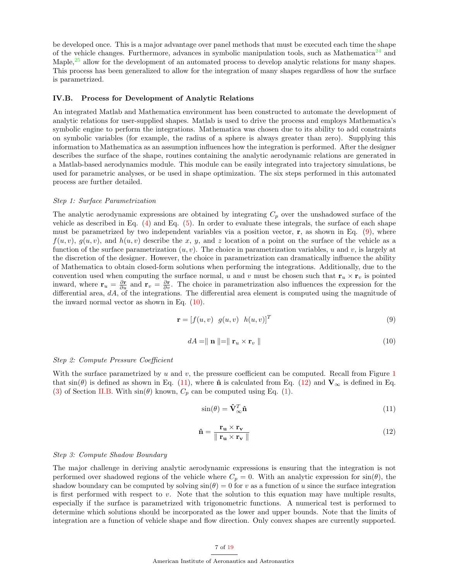be developed once. This is a major advantage over panel methods that must be executed each time the shape of the vehicle changes. Furthermore, advances in symbolic manipulation tools, such as Mathematica<sup>24</sup> and Maple,<sup>25</sup> allow for the development of an automated process to develop analytic relations for many shapes. This process has been generalized to allow for the integration of many shapes regardless of how the surface is parametrized.

#### IV.B. Process for Development of Analytic Relations

An integrated Matlab and Mathematica environment has been constructed to automate the development of analytic relations for user-supplied shapes. Matlab is used to drive the process and employs Mathematica's symbolic engine to perform the integrations. Mathematica was chosen due to its ability to add constraints on symbolic variables (for example, the radius of a sphere is always greater than zero). Supplying this information to Mathematica as an assumption influences how the integration is performed. After the designer describes the surface of the shape, routines containing the analytic aerodynamic relations are generated in a Matlab-based aerodynamics module. This module can be easily integrated into trajectory simulations, be used for parametric analyses, or be used in shape optimization. The six steps performed in this automated process are further detailed.

#### Step 1: Surface Parametrization

The analytic aerodynamic expressions are obtained by integrating  $C_p$  over the unshadowed surface of the vehicle as described in Eq.  $(4)$  and Eq.  $(5)$ . In order to evaluate these integrals, the surface of each shape must be parametrized by two independent variables via a position vector,  $\mathbf{r}$ , as shown in Eq. [\(9\)](#page-7-0), where  $f(u, v)$ ,  $g(u, v)$ , and  $h(u, v)$  describe the x, y, and z location of a point on the surface of the vehicle as a function of the surface parametrization  $(u, v)$ . The choice in parametrization variables, u and v, is largely at the discretion of the designer. However, the choice in parametrization can dramatically influence the ability of Mathematica to obtain closed-form solutions when performing the integrations. Additionally, due to the convention used when computing the surface normal, u and v must be chosen such that  $\mathbf{r}_u \times \mathbf{r}_v$  is pointed inward, where  $\mathbf{r}_u = \frac{\partial \mathbf{r}}{\partial u}$  and  $\mathbf{r}_v = \frac{\partial \mathbf{r}}{\partial v}$ . The choice in parametrization also influences the expression for the differential area,  $dA$ , of the integrations. The differential area element is computed using the magnitude of the inward normal vector as shown in Eq. [\(10\)](#page-7-1).

$$
\mathbf{r} = [f(u, v) \quad g(u, v) \quad h(u, v)]^T \tag{9}
$$

<span id="page-6-0"></span>
$$
dA = \parallel \mathbf{n} \parallel = \parallel \mathbf{r}_u \times \mathbf{r}_v \parallel
$$
\n<sup>(10)</sup>

#### Step 2: Compute Pressure Coefficient

With the surface parametrized by  $u$  and  $v$ , the pressure coefficient can be computed. Recall from Figure [1](#page-3-0) that  $sin(\theta)$  is defined as shown in Eq. [\(11\)](#page-7-2), where  $\hat{\bf{n}}$  is calculated from Eq. [\(12\)](#page-7-3) and  ${\bf V}_{\infty}$  is defined in Eq. [\(3\)](#page-4-2) of Section [II.B.](#page-3-3) With  $sin(\theta)$  known,  $C_p$  can be computed using Eq. [\(1\)](#page-3-1).

$$
\sin(\theta) = \hat{\mathbf{V}}_{\infty}^T \hat{\mathbf{n}} \tag{11}
$$

$$
\hat{\mathbf{n}} = \frac{\mathbf{r}_{\mathbf{u}} \times \mathbf{r}_{\mathbf{v}}}{\|\mathbf{r}_{\mathbf{u}} \times \mathbf{r}_{\mathbf{v}}\|}
$$
(12)

## Step 3: Compute Shadow Boundary

The major challenge in deriving analytic aerodynamic expressions is ensuring that the integration is not performed over shadowed regions of the vehicle where  $C_p = 0$ . With an analytic expression for  $sin(\theta)$ , the shadow boundary can be computed by solving  $sin(\theta) = 0$  for v as a function of u since the surface integration is first performed with respect to  $v$ . Note that the solution to this equation may have multiple results, especially if the surface is parametrized with trigonometric functions. A numerical test is performed to determine which solutions should be incorporated as the lower and upper bounds. Note that the limits of integration are a function of vehicle shape and flow direction. Only convex shapes are currently supported.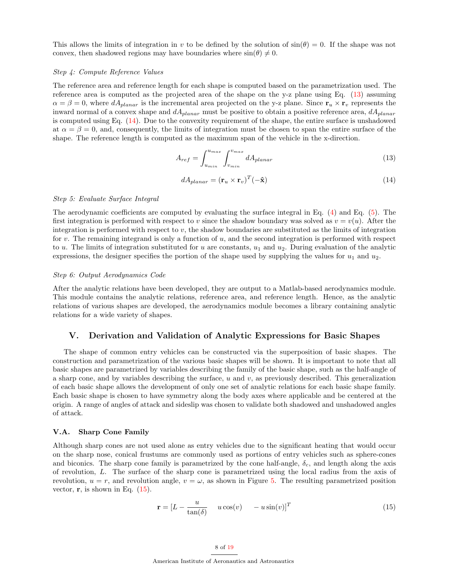This allows the limits of integration in v to be defined by the solution of  $\sin(\theta) = 0$ . If the shape was not convex, then shadowed regions may have boundaries where  $\sin(\theta) \neq 0$ .

#### Step 4: Compute Reference Values

The reference area and reference length for each shape is computed based on the parametrization used. The reference area is computed as the projected area of the shape on the y-z plane using Eq. [\(13\)](#page-8-0) assuming  $\alpha = \beta = 0$ , where  $dA_{planar}$  is the incremental area projected on the y-z plane. Since  $\mathbf{r}_u \times \mathbf{r}_v$  represents the inward normal of a convex shape and  $dA_{planar}$  must be positive to obtain a positive reference area,  $dA_{planar}$ is computed using Eq. [\(14\)](#page-8-1). Due to the convexity requirement of the shape, the entire surface is unshadowed at  $\alpha = \beta = 0$ , and, consequently, the limits of integration must be chosen to span the entire surface of the shape. The reference length is computed as the maximum span of the vehicle in the x-direction.

$$
A_{ref} = \int_{u_{min}}^{u_{max}} \int_{v_{min}}^{v_{max}} dA_{planar}
$$
\n(13)

$$
dA_{planar} = (\mathbf{r}_u \times \mathbf{r}_v)^T (-\hat{\mathbf{x}})
$$
\n(14)

#### Step 5: Evaluate Surface Integral

The aerodynamic coefficients are computed by evaluating the surface integral in Eq. [\(4\)](#page-4-3) and Eq. [\(5\)](#page-4-4). The first integration is performed with respect to v since the shadow boundary was solved as  $v = v(u)$ . After the integration is performed with respect to  $v$ , the shadow boundaries are substituted as the limits of integration for v. The remaining integrand is only a function of u, and the second integration is performed with respect to u. The limits of integration substituted for u are constants,  $u_1$  and  $u_2$ . During evaluation of the analytic expressions, the designer specifies the portion of the shape used by supplying the values for  $u_1$  and  $u_2$ .

#### Step 6: Output Aerodynamics Code

<span id="page-7-0"></span>After the analytic relations have been developed, they are output to a Matlab-based aerodynamics module. This module contains the analytic relations, reference area, and reference length. Hence, as the analytic relations of various shapes are developed, the aerodynamics module becomes a library containing analytic relations for a wide variety of shapes.

# <span id="page-7-1"></span>V. Derivation and Validation of Analytic Expressions for Basic Shapes

The shape of common entry vehicles can be constructed via the superposition of basic shapes. The construction and parametrization of the various basic shapes will be shown. It is important to note that all basic shapes are parametrized by variables describing the family of the basic shape, such as the half-angle of a sharp cone, and by variables describing the surface,  $u$  and  $v$ , as previously described. This generalization of each basic shape allows the development of only one set of analytic relations for each basic shape family. Each basic shape is chosen to have symmetry along the body axes where applicable and be centered at the origin. A range of angles of attack and sideslip was chosen to validate both shadowed and unshadowed angles of attack.

#### <span id="page-7-3"></span><span id="page-7-2"></span>V.A. Sharp Cone Family

Although sharp cones are not used alone as entry vehicles due to the significant heating that would occur on the sharp nose, conical frustums are commonly used as portions of entry vehicles such as sphere-cones and biconics. The sharp cone family is parametrized by the cone half-angle,  $\delta_c$ , and length along the axis of revolution, L. The surface of the sharp cone is parametrized using the local radius from the axis of revolution,  $u = r$ , and revolution angle,  $v = \omega$ , as shown in Figure [5.](#page-9-0) The resulting parametrized position vector,  $\mathbf{r}$ , is shown in Eq. [\(15\)](#page-8-2).

$$
\mathbf{r} = [L - \frac{u}{\tan(\delta)} \quad u \cos(v) \quad -u \sin(v)]^T \tag{15}
$$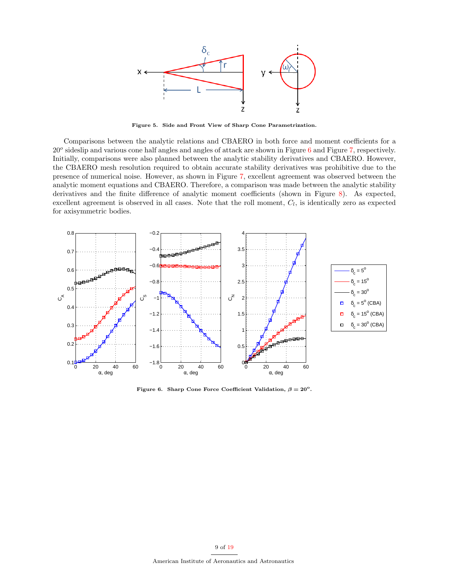

Figure 5. Side and Front View of Sharp Cone Parametrization.

<span id="page-8-1"></span><span id="page-8-0"></span>Comparisons between the analytic relations and CBAERO in both force and moment coefficients for a 20<sup>o</sup> sideslip and various cone half angles and angles of attack are shown in Figure [6](#page-9-1) and Figure [7,](#page-10-0) respectively. Initially, comparisons were also planned between the analytic stability derivatives and CBAERO. However, the CBAERO mesh resolution required to obtain accurate stability derivatives was prohibitive due to the presence of numerical noise. However, as shown in Figure [7,](#page-10-0) excellent agreement was observed between the analytic moment equations and CBAERO. Therefore, a comparison was made between the analytic stability derivatives and the finite difference of analytic moment coefficients (shown in Figure [8\)](#page-10-1). As expected, excellent agreement is observed in all cases. Note that the roll moment,  $C_l$ , is identically zero as expected for axisymmetric bodies.



<span id="page-8-2"></span>Figure 6. Sharp Cone Force Coefficient Validation,  $\beta = 20^{\circ}$ .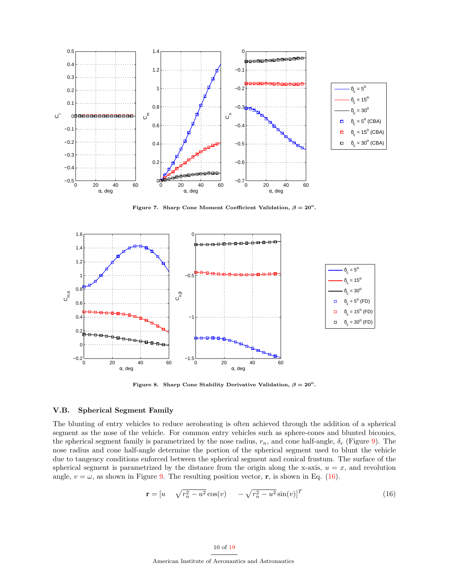

<span id="page-9-0"></span>Figure 7. Sharp Cone Moment Coefficient Validation,  $\beta = 20^{\circ}$ .



<span id="page-9-1"></span>Figure 8. Sharp Cone Stability Derivative Validation,  $\beta = 20^{\circ}$ .

# V.B. Spherical Segment Family

The blunting of entry vehicles to reduce aeroheating is often achieved through the addition of a spherical segment as the nose of the vehicle. For common entry vehicles such as sphere-cones and blunted biconics, the spherical segment family is parametrized by the nose radius,  $r_n$ , and cone half-angle,  $\delta_c$  (Figure [9\)](#page-11-0). The nose radius and cone half-angle determine the portion of the spherical segment used to blunt the vehicle due to tangency conditions enforced between the spherical segment and conical frustum. The surface of the spherical segment is parametrized by the distance from the origin along the x-axis,  $u = x$ , and revolution angle,  $v = \omega$ , as shown in Figure [9.](#page-11-0) The resulting position vector, r, is shown in Eq. [\(16\)](#page-10-2).

$$
\mathbf{r} = [u \quad \sqrt{r_n^2 - u^2} \cos(v) \quad -\sqrt{r_n^2 - u^2} \sin(v)]^T \tag{16}
$$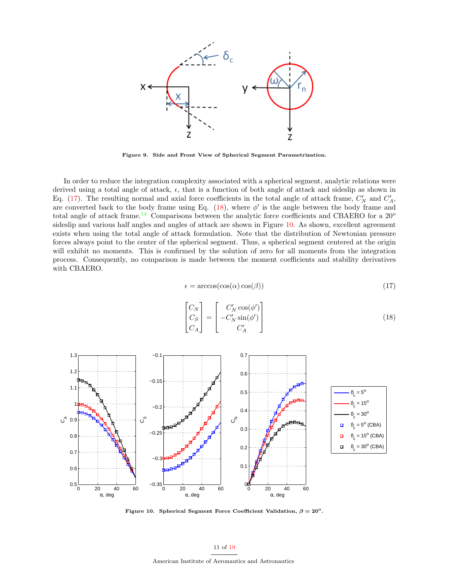

<span id="page-10-0"></span>Figure 9. Side and Front View of Spherical Segment Parametrization.

In order to reduce the integration complexity associated with a spherical segment, analytic relations were derived using a total angle of attack,  $\epsilon$ , that is a function of both angle of attack and sideslip as shown in Eq. [\(17\)](#page-11-1). The resulting normal and axial force coefficients in the total angle of attack frame,  $C'_N$  and  $C'_A$ , are converted back to the body frame using Eq. [\(18\)](#page-11-2), where  $\phi'$  is the angle between the body frame and total angle of attack frame.<sup>14</sup> Comparisons between the analytic force coefficients and CBAERO for a  $20^{\circ}$ sideslip and various half angles and angles of attack are shown in Figure [10.](#page-11-3) As shown, excellent agreement exists when using the total angle of attack formulation. Note that the distribution of Newtonian pressure forces always point to the center of the spherical segment. Thus, a spherical segment centered at the origin will exhibit no moments. This is confirmed by the solution of zero for all moments from the integration process. Consequently, no comparison is made between the moment coefficients and stability derivatives with CBAERO.

$$
\epsilon = \arccos(\cos(\alpha)\cos(\beta))\tag{17}
$$

<span id="page-10-1"></span>
$$
\begin{bmatrix} C_N \\ C_S \\ C_A \end{bmatrix} = \begin{bmatrix} C'_N \cos(\phi') \\ -C'_N \sin(\phi') \\ C'_A \end{bmatrix}
$$
\n(18)



<span id="page-10-2"></span>Figure 10. Spherical Segment Force Coefficient Validation,  $\beta = 20^{\circ}$ .

American Institute of Aeronautics and Astronautics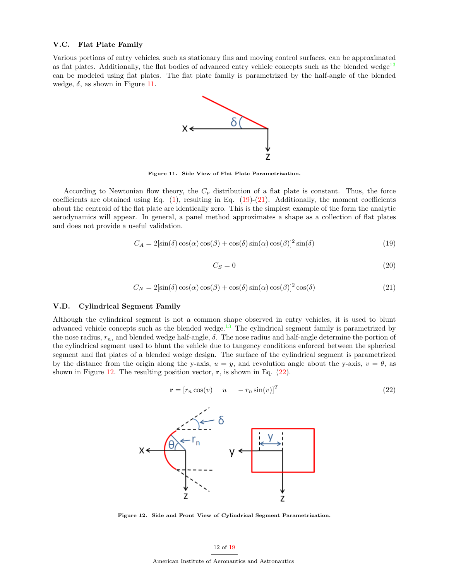## V.C. Flat Plate Family

Various portions of entry vehicles, such as stationary fins and moving control surfaces, can be approximated as flat plates. Additionally, the flat bodies of advanced entry vehicle concepts such as the blended wedge<sup>13</sup> can be modeled using flat plates. The flat plate family is parametrized by the half-angle of the blended wedge,  $\delta$ , as shown in Figure [11.](#page-12-0)



<span id="page-11-0"></span>Figure 11. Side View of Flat Plate Parametrization.

According to Newtonian flow theory, the  $C_p$  distribution of a flat plate is constant. Thus, the force coefficients are obtained using Eq.  $(1)$ , resulting in Eq.  $(19)-(21)$  $(19)-(21)$  $(19)-(21)$ . Additionally, the moment coefficients about the centroid of the flat plate are identically zero. This is the simplest example of the form the analytic aerodynamics will appear. In general, a panel method approximates a shape as a collection of flat plates and does not provide a useful validation.

$$
C_A = 2\left[\sin(\delta)\cos(\alpha)\cos(\beta) + \cos(\delta)\sin(\alpha)\cos(\beta)\right]^2 \sin(\delta)
$$
\n(19)

$$
C_S = 0 \tag{20}
$$

$$
C_N = 2\left[\sin(\delta)\cos(\alpha)\cos(\beta) + \cos(\delta)\sin(\alpha)\cos(\beta)\right]^2\cos(\delta)
$$
\n(21)

## <span id="page-11-2"></span><span id="page-11-1"></span>V.D. Cylindrical Segment Family

Although the cylindrical segment is not a common shape observed in entry vehicles, it is used to blunt advanced vehicle concepts such as the blended wedge.<sup>13</sup> The cylindrical segment family is parametrized by the nose radius,  $r_n$ , and blended wedge half-angle,  $\delta$ . The nose radius and half-angle determine the portion of the cylindrical segment used to blunt the vehicle due to tangency conditions enforced between the spherical segment and flat plates of a blended wedge design. The surface of the cylindrical segment is parametrized by the distance from the origin along the y-axis,  $u = y$ , and revolution angle about the y-axis,  $v = \theta$ , as shown in Figure [12.](#page-12-3) The resulting position vector,  $\mathbf{r}$ , is shown in Eq. [\(22\)](#page-12-4).

$$
\mathbf{r} = [r_n \cos(v) \quad u \quad -r_n \sin(v)]^T \tag{22}
$$



<span id="page-11-3"></span>Figure 12. Side and Front View of Cylindrical Segment Parametrization.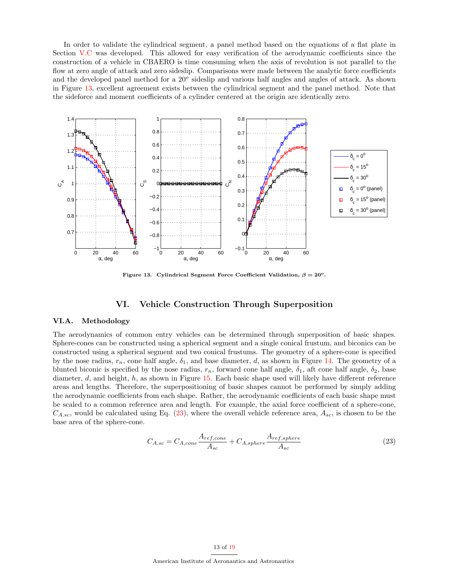In order to validate the cylindrical segment, a panel method based on the equations of a flat plate in Section V.C was developed. This allowed for easy verification of the aerodynamic coefficients since the construction of a vehicle in CBAERO is time consuming when the axis of revolution is not parallel to the flow at zero angle of attack and zero sideslip. Comparisons were made between the analytic force coefficients and the developed panel method for a  $20^{\circ}$  sideslip and various half angles and angles of attack. As shown in Figure [13,](#page-13-0) excellent agreement exists between the cylindrical segment and the panel method. Note that the sideforce and moment coefficients of a cylinder centered at the origin are identically zero.



<span id="page-12-1"></span><span id="page-12-0"></span>Figure 13. Cylindrical Segment Force Coefficient Validation,  $\beta = 20^{\circ}$ .

# VI. Vehicle Construction Through Superposition

## <span id="page-12-2"></span>VI.A. Methodology

<span id="page-12-4"></span>The aerodynamics of common entry vehicles can be determined through superposition of basic shapes. Sphere-cones can be constructed using a spherical segment and a single conical frustum, and biconics can be constructed using a spherical segment and two conical frustums. The geometry of a sphere-cone is specified by the nose radius,  $r_n$ , cone half angle,  $\delta_1$ , and base diameter, d, as shown in Figure [14.](#page-14-0) The geometry of a blunted biconic is specified by the nose radius,  $r_n$ , forward cone half angle,  $\delta_1$ , aft cone half angle,  $\delta_2$ , base diameter, d, and height, h, as shown in Figure [15.](#page-14-1) Each basic shape used will likely have different reference areas and lengths. Therefore, the superpositioning of basic shapes cannot be performed by simply adding the aerodynamic coefficients from each shape. Rather, the aerodynamic coefficients of each basic shape must be scaled to a common reference area and length. For example, the axial force coefficient of a sphere-cone,  $C_{A,sc}$ , would be calculated using Eq. [\(23\)](#page-13-1), where the overall vehicle reference area,  $A_{sc}$ , is chosen to be the base area of the sphere-cone.

$$
C_{A,sc} = C_{A,cone} \frac{A_{ref,cone}}{A_{sc}} + C_{A,sphere} \frac{A_{ref,sphere}}{A_{sc}}
$$
(23)

### <span id="page-12-3"></span>13 of 19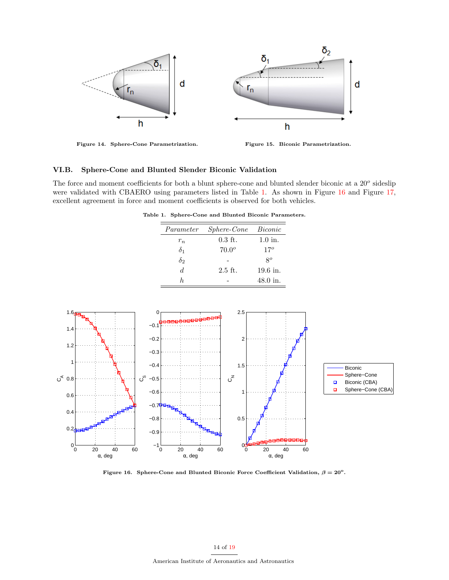

Figure 14. Sphere-Cone Parametrization. Figure 15. Biconic Parametrization.

# VI.B. Sphere-Cone and Blunted Slender Biconic Validation

The force and moment coefficients for both a blunt sphere-cone and blunted slender biconic at a 20<sup>o</sup> sideslip were validated with CBAERO using parameters listed in Table 1. As shown in Figure [16](#page-14-2) and Figure [17,](#page-15-0) excellent agreement in force and moment coefficients is observed for both vehicles.

Table 1. Sphere-Cone and Blunted Biconic Parameters.

<span id="page-13-0"></span>

| Parameter  | <i>Sphere-Cone</i> | Biconic      |
|------------|--------------------|--------------|
| $r_n$      | $0.3$ ft.          | $1.0$ in.    |
| $\delta_1$ | $70.0^{\circ}$     | $17^{\circ}$ |
| $\delta_2$ |                    | $8^o$        |
| d.         | $2.5$ ft.          | $19.6$ in.   |
|            |                    | 48.0 in.     |



<span id="page-13-1"></span>Figure 16. Sphere-Cone and Blunted Biconic Force Coefficient Validation,  $\beta = 20^{\circ}$ .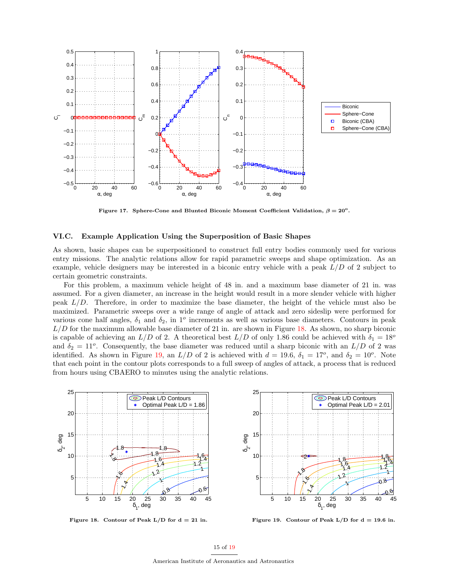

<span id="page-14-1"></span><span id="page-14-0"></span>Figure 17. Sphere-Cone and Blunted Biconic Moment Coefficient Validation,  $\beta = 20^{\circ}$ .

## VI.C. Example Application Using the Superposition of Basic Shapes

As shown, basic shapes can be superpositioned to construct full entry bodies commonly used for various entry missions. The analytic relations allow for rapid parametric sweeps and shape optimization. As an example, vehicle designers may be interested in a biconic entry vehicle with a peak  $L/D$  of 2 subject to certain geometric constraints.

For this problem, a maximum vehicle height of 48 in. and a maximum base diameter of 21 in. was assumed. For a given diameter, an increase in the height would result in a more slender vehicle with higher peak  $L/D$ . Therefore, in order to maximize the base diameter, the height of the vehicle must also be maximized. Parametric sweeps over a wide range of angle of attack and zero sideslip were performed for various cone half angles,  $\delta_1$  and  $\delta_2$ , in 1<sup>o</sup> increments as well as various base diameters. Contours in peak  $L/D$  for the maximum allowable base diameter of 21 in. are shown in Figure [18.](#page-15-1) As shown, no sharp biconic is capable of achieving an  $L/D$  of 2. A theoretical best  $L/D$  of only 1.86 could be achieved with  $\delta_1 = 18^{\circ}$ and  $\delta_2 = 11^o$ . Consequently, the base diameter was reduced until a sharp biconic with an  $L/D$  of 2 was identified. As shown in Figure [19,](#page-15-2) an  $L/D$  of 2 is achieved with  $d = 19.6$ ,  $\delta_1 = 17^o$ , and  $\delta_2 = 10^o$ . Note that each point in the contour plots corresponds to a full sweep of angles of attack, a process that is reduced from hours using CBAERO to minutes using the analytic relations.



<span id="page-14-2"></span>Figure 18. Contour of Peak  $L/D$  for  $d = 21$  in.



Figure 19. Contour of Peak  $L/D$  for  $d = 19.6$  in.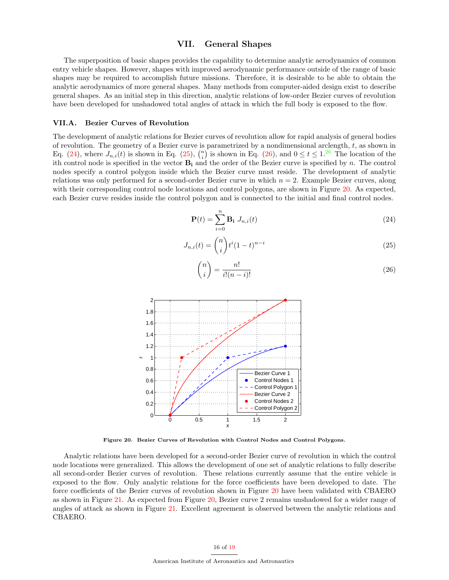# VII. General Shapes

The superposition of basic shapes provides the capability to determine analytic aerodynamics of common entry vehicle shapes. However, shapes with improved aerodynamic performance outside of the range of basic shapes may be required to accomplish future missions. Therefore, it is desirable to be able to obtain the analytic aerodynamics of more general shapes. Many methods from computer-aided design exist to describe general shapes. As an initial step in this direction, analytic relations of low-order Bezier curves of revolution have been developed for unshadowed total angles of attack in which the full body is exposed to the flow.

#### VII.A. Bezier Curves of Revolution

The development of analytic relations for Bezier curves of revolution allow for rapid analysis of general bodies of revolution. The geometry of a Bezier curve is parametrized by a nondimensional arclength,  $t$ , as shown in Eq. [\(24\)](#page-16-0), where  $J_{n,i}(t)$  is shown in Eq. [\(25\)](#page-16-1),  $\binom{n}{i}$  is shown in Eq. [\(26\)](#page-16-2), and  $0 \le t \le 1$ .<sup>26</sup> The location of the ith control node is specified in the vector  $B_i$  and the order of the Bezier curve is specified by n. The control nodes specify a control polygon inside which the Bezier curve must reside. The development of analytic relations was only performed for a second-order Bezier curve in which  $n = 2$ . Example Bezier curves, along with their corresponding control node locations and control polygons, are shown in Figure [20.](#page-16-3) As expected, each Bezier curve resides inside the control polygon and is connected to the initial and final control nodes.

<span id="page-15-0"></span>
$$
\mathbf{P}(t) = \sum_{i=0}^{n} \mathbf{B_i} \ J_{n,i}(t) \tag{24}
$$

$$
J_{n,i}(t) = \binom{n}{i} t^i (1-t)^{n-i} \tag{25}
$$

$$
\binom{n}{i} = \frac{n!}{i!(n-i)!} \tag{26}
$$



<span id="page-15-2"></span><span id="page-15-1"></span>Figure 20. Bezier Curves of Revolution with Control Nodes and Control Polygons.

Analytic relations have been developed for a second-order Bezier curve of revolution in which the control node locations were generalized. This allows the development of one set of analytic relations to fully describe all second-order Bezier curves of revolution. These relations currently assume that the entire vehicle is exposed to the flow. Only analytic relations for the force coefficients have been developed to date. The force coefficients of the Bezier curves of revolution shown in Figure [20](#page-16-3) have been validated with CBAERO as shown in Figure [21.](#page-17-0) As expected from Figure [20,](#page-16-3) Bezier curve 2 remains unshadowed for a wider range of angles of attack as shown in Figure [21.](#page-17-0) Excellent agreement is observed between the analytic relations and CBAERO.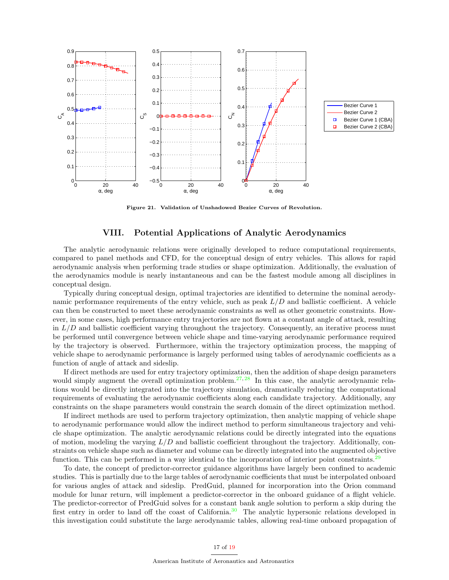

Figure 21. Validation of Unshadowed Bezier Curves of Revolution.

# VIII. Potential Applications of Analytic Aerodynamics

<span id="page-16-2"></span><span id="page-16-1"></span><span id="page-16-0"></span>The analytic aerodynamic relations were originally developed to reduce computational requirements, compared to panel methods and CFD, for the conceptual design of entry vehicles. This allows for rapid aerodynamic analysis when performing trade studies or shape optimization. Additionally, the evaluation of the aerodynamics module is nearly instantaneous and can be the fastest module among all disciplines in conceptual design.

Typically during conceptual design, optimal trajectories are identified to determine the nominal aerodynamic performance requirements of the entry vehicle, such as peak  $L/D$  and ballistic coefficient. A vehicle can then be constructed to meet these aerodynamic constraints as well as other geometric constraints. However, in some cases, high performance entry trajectories are not flown at a constant angle of attack, resulting in  $L/D$  and ballistic coefficient varying throughout the trajectory. Consequently, an iterative process must be performed until convergence between vehicle shape and time-varying aerodynamic performance required by the trajectory is observed. Furthermore, within the trajectory optimization process, the mapping of vehicle shape to aerodynamic performance is largely performed using tables of aerodynamic coefficients as a function of angle of attack and sideslip.

If direct methods are used for entry trajectory optimization, then the addition of shape design parameters would simply augment the overall optimization problem.<sup>27, 28</sup> In this case, the analytic aerodynamic relations would be directly integrated into the trajectory simulation, dramatically reducing the computational requirements of evaluating the aerodynamic coefficients along each candidate trajectory. Additionally, any constraints on the shape parameters would constrain the search domain of the direct optimization method.

<span id="page-16-3"></span>If indirect methods are used to perform trajectory optimization, then analytic mapping of vehicle shape to aerodynamic performance would allow the indirect method to perform simultaneous trajectory and vehicle shape optimization. The analytic aerodynamic relations could be directly integrated into the equations of motion, modeling the varying  $L/D$  and ballistic coefficient throughout the trajectory. Additionally, constraints on vehicle shape such as diameter and volume can be directly integrated into the augmented objective function. This can be performed in a way identical to the incorporation of interior point constraints.<sup>29</sup>

To date, the concept of predictor-corrector guidance algorithms have largely been confined to academic studies. This is partially due to the large tables of aerodynamic coefficients that must be interpolated onboard for various angles of attack and sideslip. PredGuid, planned for incorporation into the Orion command module for lunar return, will implement a predictor-corrector in the onboard guidance of a flight vehicle. The predictor-corrector of PredGuid solves for a constant bank angle solution to perform a skip during the first entry in order to land off the coast of California.<sup>30</sup> The analytic hypersonic relations developed in this investigation could substitute the large aerodynamic tables, allowing real-time onboard propagation of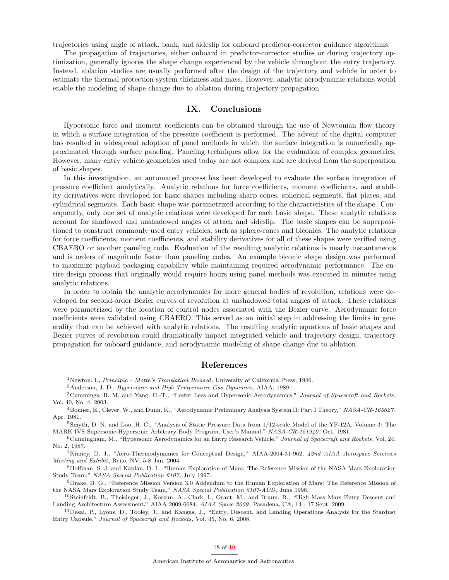trajectories using angle of attack, bank, and sideslip for onboard predictor-corrector guidance algorithms.

The propagation of trajectories, either onboard in predictor-corrector studies or during trajectory optimization, generally ignores the shape change experienced by the vehicle throughout the entry trajectory. Instead, ablation studies are usually performed after the design of the trajectory and vehicle in order to estimate the thermal protection system thickness and mass. However, analytic aerodynamic relations would enable the modeling of shape change due to ablation during trajectory propagation.

# <span id="page-17-0"></span>IX. Conclusions

Hypersonic force and moment coefficients can be obtained through the use of Newtonian flow theory in which a surface integration of the pressure coefficient is performed. The advent of the digital computer has resulted in widespread adoption of panel methods in which the surface integration is numerically approximated through surface paneling. Paneling techniques allow for the evaluation of complex geometries. However, many entry vehicle geometries used today are not complex and are derived from the superposition of basic shapes.

In this investigation, an automated process has been developed to evaluate the surface integration of pressure coefficient analytically. Analytic relations for force coefficients, moment coefficients, and stability derivatives were developed for basic shapes including sharp cones, spherical segments, flat plates, and cylindrical segments. Each basic shape was parametrized according to the characteristics of the shape. Consequently, only one set of analytic relations were developed for each basic shape. These analytic relations account for shadowed and unshadowed angles of attack and sideslip. The basic shapes can be superpositioned to construct commonly used entry vehicles, such as sphere-cones and biconics. The analytic relations for force coefficients, moment coefficients, and stability derivatives for all of these shapes were verified using CBAERO or another paneling code. Evaluation of the resulting analytic relations is nearly instantaneous and is orders of magnitude faster than paneling codes. An example biconic shape design was performed to maximize payload packaging capability while maintaining required aerodynamic performance. The entire design process that originally would require hours using panel methods was executed in minutes using analytic relations.

In order to obtain the analytic aerodynamics for more general bodies of revolution, relations were developed for second-order Bezier curves of revolution at unshadowed total angles of attack. These relations were parametrized by the location of control nodes associated with the Bezier curve. Aerodynamic force coefficients were validated using CBAERO. This served as an initial step in addressing the limits in generality that can be achieved with analytic relations. The resulting analytic equations of basic shapes and Bezier curves of revolution could dramatically impact integrated vehicle and trajectory design, trajectory propagation for onboard guidance, and aerodynamic modeling of shape change due to ablation.

# References

<sup>1</sup>Newton, I., Principia - Motte's Translation Revised, University of California Press, 1946.

<sup>2</sup>Anderson, J. D., Hypersonic and High Temperature Gas Dynamics, AIAA, 1989.

<sup>3</sup>Cummings, R. M. and Yang, H.-T., "Lester Lees and Hypersonic Aerodynamics," Journal of Spacecraft and Rockets, Vol. 40, No. 4, 2003.

<sup>4</sup>Bonner, E., Clever, W., and Dunn, K., "Aerodynamic Preliminary Analysis System II: Part I Theory," NASA-CR-165627 , Apr. 1981.

<sup>5</sup>Smyth, D. N. and Loo, H. C., "Analysis of Static Pressure Data from 1/12-scale Model of the YF-12A. Volume 3: The MARK IVS Supersonic-Hypersonic Arbitrary Body Program, User's Manual," NASA-CR-151940, Oct. 1981.

 $6$ Cunningham, M., "Hypersonic Aerodynamics for an Entry Research Vehicle," Journal of Spacecraft and Rockets, Vol. 24, No. 2, 1987.

<sup>7</sup>Kinney, D. J., "Aero-Thermodynamics for Conceptual Design," AIAA-2004-31-962, 42nd AIAA Aerospace Sciences Meeting and Exhibit, Reno, NV, 5-8 Jan. 2004.

<sup>8</sup>Hoffman, S. J. and Kaplan, D. I., "Human Exploration of Mars: The Reference Mission of the NASA Mars Exploration Study Team," NASA Special Publication 6107, July 1997.

9Drake, B. G., "Reference Mission Version 3.0 Addendum to the Human Exploration of Mars: The Reference Mission of the NASA Mars Exploration Study Team," NASA Special Publication 6107-ADD, June 1998.

<sup>10</sup>Steinfeldt, B., Theisinger, J., Korzun, A., Clark, I., Grant, M., and Braun, R., "High Mass Mars Entry Descent and Landing Architecture Assessment," AIAA 2009-6684, AIAA Space 2009 , Pasadena, CA, 14 - 17 Sept. 2009.

<sup>11</sup>Desai, P., Lyons, D., Tooley, J., and Kangas, J., "Entry, Descent, and Landing Operations Analysis for the Stardust Entry Capsule," Journal of Spacecraft and Rockets, Vol. 45, No. 6, 2008.